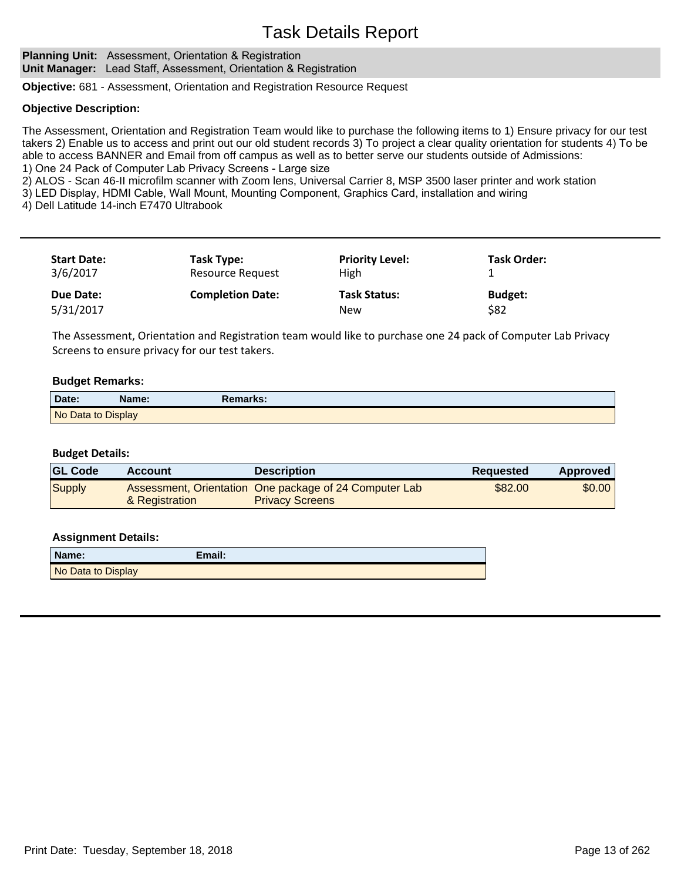**Planning Unit:** Assessment, Orientation & Registration **Unit Manager:** Lead Staff, Assessment, Orientation & Registration

**Objective:** 681 - Assessment, Orientation and Registration Resource Request

#### **Objective Description:**

The Assessment, Orientation and Registration Team would like to purchase the following items to 1) Ensure privacy for our test takers 2) Enable us to access and print out our old student records 3) To project a clear quality orientation for students 4) To be able to access BANNER and Email from off campus as well as to better serve our students outside of Admissions: 1) One 24 Pack of Computer Lab Privacy Screens - Large size

2) ALOS - Scan 46-II microfilm scanner with Zoom lens, Universal Carrier 8, MSP 3500 laser printer and work station

3) LED Display, HDMI Cable, Wall Mount, Mounting Component, Graphics Card, installation and wiring

4) Dell Latitude 14-inch E7470 Ultrabook

| <b>Start Date:</b><br>3/6/2017 | Task Type:<br>Resource Request | <b>Priority Level:</b><br>High    | <b>Task Order:</b>     |  |
|--------------------------------|--------------------------------|-----------------------------------|------------------------|--|
| Due Date:<br>5/31/2017         | <b>Completion Date:</b>        | <b>Task Status:</b><br><b>New</b> | <b>Budget:</b><br>\$82 |  |

The Assessment, Orientation and Registration team would like to purchase one 24 pack of Computer Lab Privacy Screens to ensure privacy for our test takers.

#### **Budget Remarks:**

| Date:              | Name: | Remarks: |
|--------------------|-------|----------|
| No Data to Display |       |          |

#### **Budget Details:**

| <b>GL Code</b> | <b>Account</b> | <b>Description</b>                                                               | <b>Requested</b> | <b>Approved</b> |
|----------------|----------------|----------------------------------------------------------------------------------|------------------|-----------------|
| <b>Supply</b>  | & Registration | Assessment, Orientation One package of 24 Computer Lab<br><b>Privacy Screens</b> | \$82.00          | \$0.00          |

| Name:              | Email: |
|--------------------|--------|
| No Data to Display |        |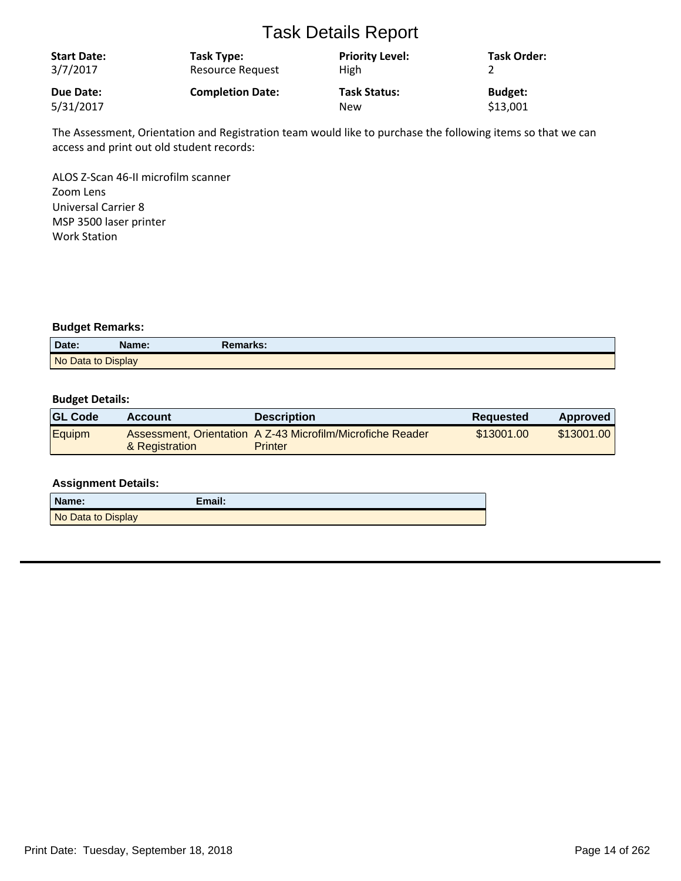| <b>Start Date:</b><br>3/7/2017 | Task Type:<br><b>Resource Request</b> | <b>Priority Level:</b><br><b>High</b> | <b>Task Order:</b> |
|--------------------------------|---------------------------------------|---------------------------------------|--------------------|
| Due Date:                      | <b>Completion Date:</b>               | <b>Task Status:</b>                   | <b>Budget:</b>     |
| 5/31/2017                      |                                       | New                                   | \$13,001           |

The Assessment, Orientation and Registration team would like to purchase the following items so that we can access and print out old student records:

ALOS Z-Scan 46-II microfilm scanner Zoom Lens Universal Carrier 8 MSP 3500 laser printer Work Station

#### **Budget Remarks:**

| Date:              | Name: | Remarks: |
|--------------------|-------|----------|
| No Data to Display |       |          |

#### **Budget Details:**

| <b>GL Code</b> | Account        | <b>Description</b>                                                           | <b>Requested</b> | Approved   |
|----------------|----------------|------------------------------------------------------------------------------|------------------|------------|
| Equipm         | & Registration | Assessment, Orientation A Z-43 Microfilm/Microfiche Reader<br><b>Printer</b> | \$13001.00       | \$13001.00 |

| Name:              | Email: |
|--------------------|--------|
| No Data to Display |        |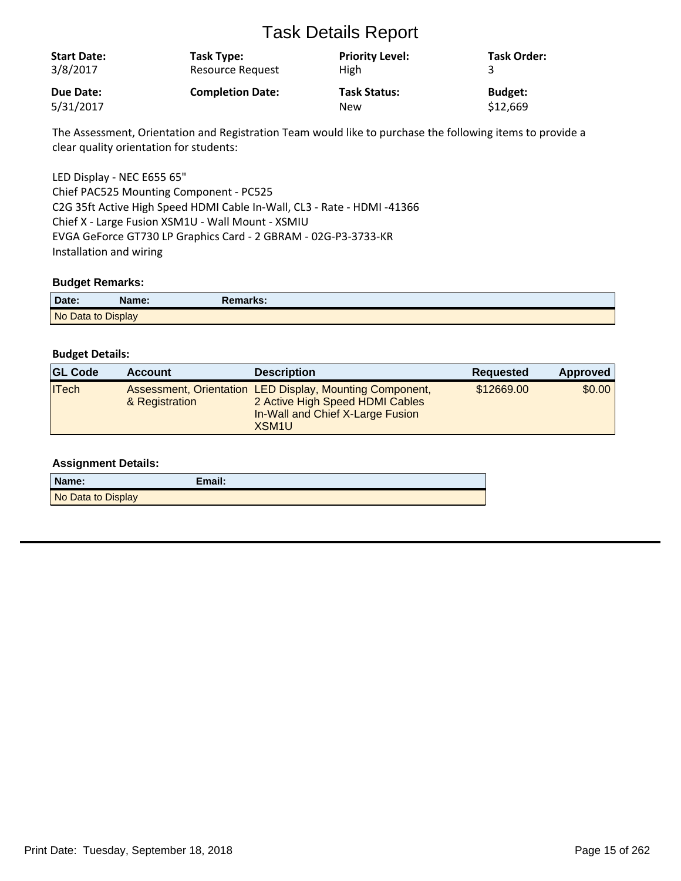| <b>Start Date:</b><br>3/8/2017 | Task Type:<br><b>Resource Request</b> | <b>Priority Level:</b><br><b>High</b> | Task Order:    |
|--------------------------------|---------------------------------------|---------------------------------------|----------------|
| Due Date:                      | <b>Completion Date:</b>               | <b>Task Status:</b>                   | <b>Budget:</b> |
| 5/31/2017                      |                                       | New                                   | \$12,669       |

The Assessment, Orientation and Registration Team would like to purchase the following items to provide a clear quality orientation for students:

LED Display - NEC E655 65" Chief PAC525 Mounting Component - PC525 C2G 35ft Active High Speed HDMI Cable In-Wall, CL3 - Rate - HDMI -41366 Chief X - Large Fusion XSM1U - Wall Mount - XSMIU EVGA GeForce GT730 LP Graphics Card - 2 GBRAM - 02G-P3-3733-KR Installation and wiring

#### **Budget Remarks:**

| Date:              | Name: | Remarks: |  |
|--------------------|-------|----------|--|
| No Data to Display |       |          |  |

#### **Budget Details:**

| <b>GL Code</b> | <b>Account</b> | <b>Description</b>                                                                                                                                   | <b>Requested</b> | Approved |
|----------------|----------------|------------------------------------------------------------------------------------------------------------------------------------------------------|------------------|----------|
| $\Pi$ rech     | & Registration | Assessment, Orientation LED Display, Mounting Component,<br>2 Active High Speed HDMI Cables<br>In-Wall and Chief X-Large Fusion<br>XSM <sub>1U</sub> | \$12669.00       | \$0.00   |

| Name:              | Email: |
|--------------------|--------|
| No Data to Display |        |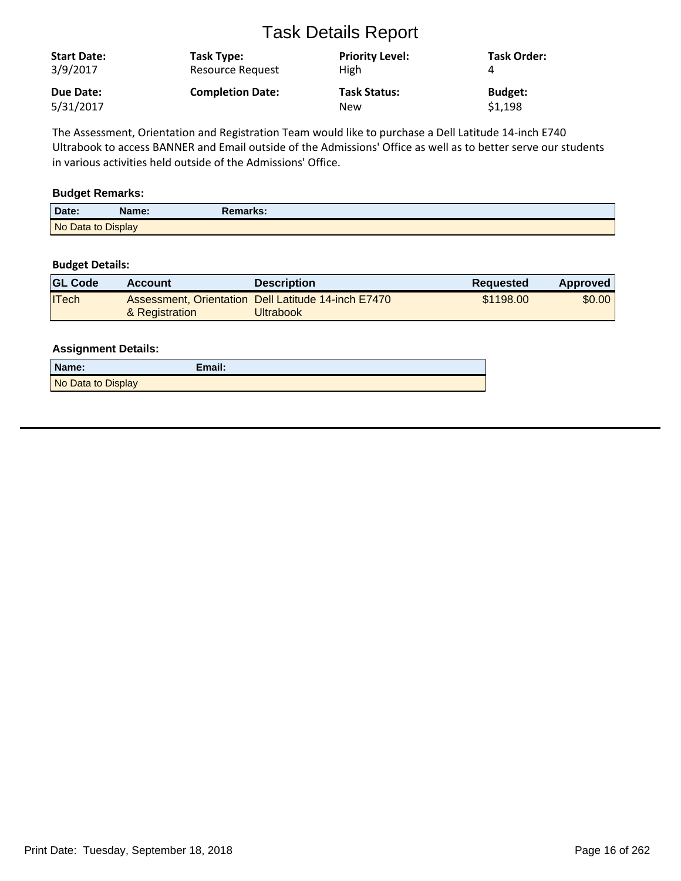| <b>Start Date:</b><br>3/9/2017 | Task Type:<br><b>Resource Request</b> | <b>Priority Level:</b><br><b>High</b> | Task Order:    |
|--------------------------------|---------------------------------------|---------------------------------------|----------------|
| Due Date:                      | <b>Completion Date:</b>               | <b>Task Status:</b>                   | <b>Budget:</b> |
| 5/31/2017                      |                                       | New                                   | \$1,198        |

The Assessment, Orientation and Registration Team would like to purchase a Dell Latitude 14-inch E740 Ultrabook to access BANNER and Email outside of the Admissions' Office as well as to better serve our students in various activities held outside of the Admissions' Office.

### **Budget Remarks:**

| Date:              | Name: | Remarks: |
|--------------------|-------|----------|
| No Data to Display |       |          |

#### **Budget Details:**

| <b>GL Code</b> | Account        | <b>Description</b>                                               | Requested | <b>Approved</b> |
|----------------|----------------|------------------------------------------------------------------|-----------|-----------------|
| $ $ ITech      | & Registration | Assessment, Orientation Dell Latitude 14-inch E7470<br>Jltrabook | \$1198.00 | \$0.00          |

| Name:              | Email: |
|--------------------|--------|
| No Data to Display |        |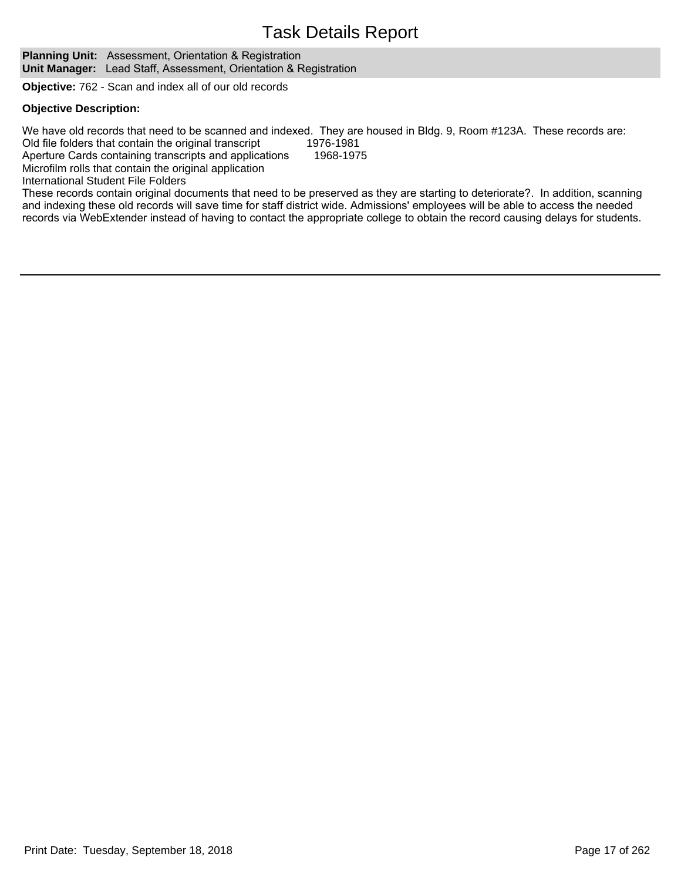**Planning Unit:** Assessment, Orientation & Registration **Unit Manager:** Lead Staff, Assessment, Orientation & Registration

**Objective:** 762 - Scan and index all of our old records

#### **Objective Description:**

We have old records that need to be scanned and indexed. They are housed in Bldg. 9, Room #123A. These records are: 20 Old file folders that contain the original transcript 1976-1981

Aperture Cards containing transcripts and applications 1968-1975

Microfilm rolls that contain the original application

```
International Student File Folders
```
These records contain original documents that need to be preserved as they are starting to deteriorate?. In addition, scanning and indexing these old records will save time for staff district wide. Admissions' employees will be able to access the needed records via WebExtender instead of having to contact the appropriate college to obtain the record causing delays for students.